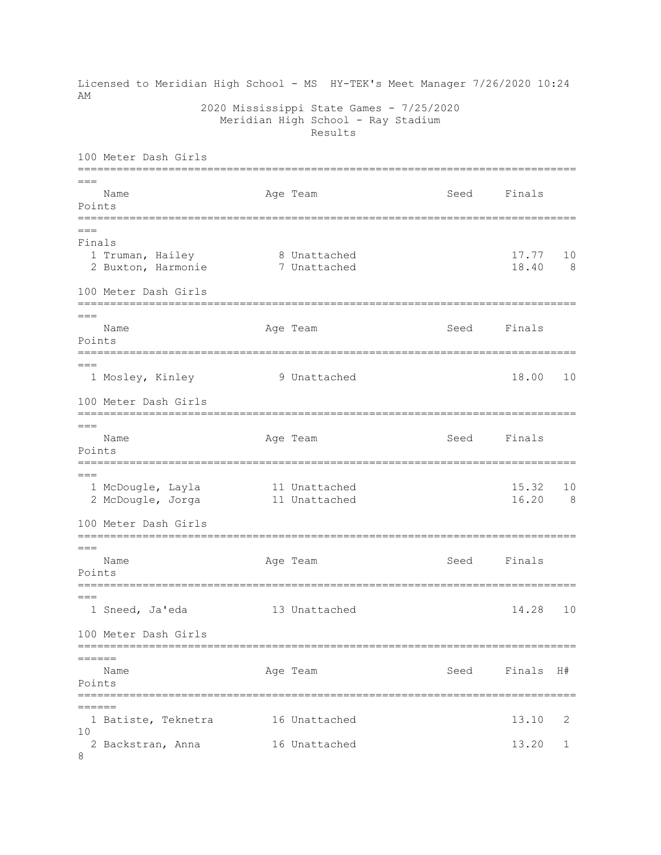Licensed to Meridian High School - MS HY-TEK's Meet Manager 7/26/2020 10:24 **AM**  2020 Mississippi State Games - 7/25/2020 Meridian High School - Ray Stadium Results 100 Meter Dash Girls =============================================================================  $=$ Name Age Team Seed Finals Points =============================================================================  $=$ Finals 1 Truman, Hailey 8 Unattached 17.77 10 2 Buxton, Harmonie 7 Unattached 18.40 8 100 Meter Dash Girls =============================================================================  $---$ Name **Age Team** Age Team Seed Finals Points ============================================================================= === 1 Mosley, Kinley 9 Unattached 18.00 10 100 Meter Dash Girls =============================================================================  $=$ Name **Age Team** Age Team Seed Finals Points =============================================================================  $---$ 1 McDougle, Layla 11 Unattached 15.32 10 2 McDougle, Jorga 11 Unattached 16.20 8 100 Meter Dash Girls =============================================================================  $=$ Name **Age Team** Age Team Seed Finals Points =============================================================================  $=$  1 Sneed, Ja'eda 13 Unattached 14.28 10 100 Meter Dash Girls =============================================================================  $=$  Name Age Team Seed Finals H# Points ============================================================================= ====== 1 Batiste, Teknetra 16 Unattached 13.10 2 10 2 Backstran, Anna 16 Unattached 13.20 1 8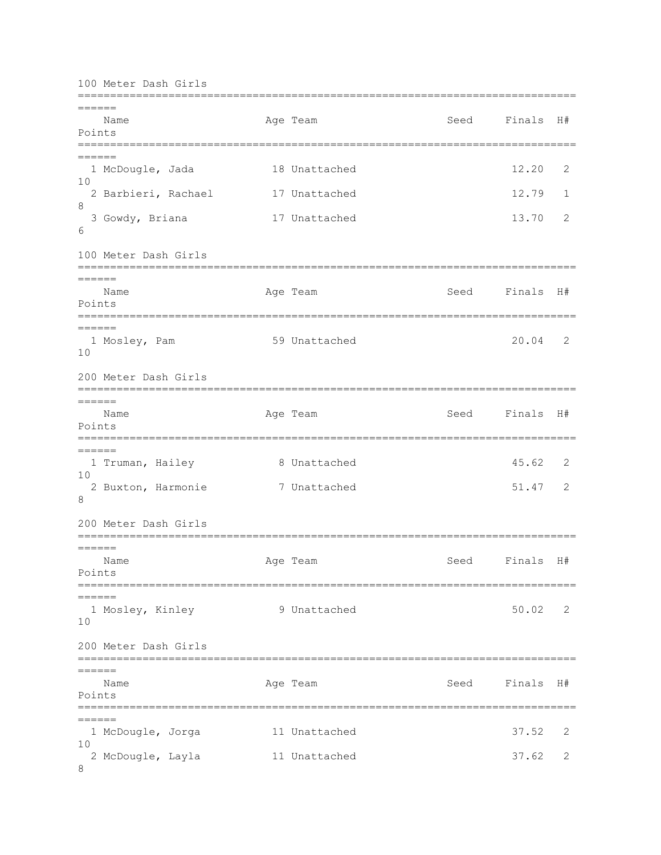100 Meter Dash Girls ============================================================================= ====== Name Age Team Seed Finals H# Points =============================================================================  $======$ 1 McDougle, Jada 18 Unattached 12.20 2 10 2 Barbieri, Rachael 17 Unattached 12.79 1 8 3 Gowdy, Briana 17 Unattached 13.70 2 6 100 Meter Dash Girls ============================================================================= ====== Name Age Team Seed Finals H# Points ============================================================================= ====== 1 Mosley, Pam 59 Unattached 20.04 2 10 200 Meter Dash Girls =============================================================================  $=$ Name **Age Team Seed Finals H**# Points ============================================================================= ====== 1 Truman, Hailey 8 Unattached 45.62 2 10 2 Buxton, Harmonie 7 Unattached 51.47 2 8 200 Meter Dash Girls =============================================================================  $=$  Name Age Team Seed Finals H# Points =============================================================================  $=$  1 Mosley, Kinley 9 Unattached 50.02 2 10 200 Meter Dash Girls =============================================================================  $=$  Name Age Team Seed Finals H# Points =============================================================================  $=$  1 McDougle, Jorga 11 Unattached 37.52 2 10 2 McDougle, Layla 11 Unattached 37.62 2 8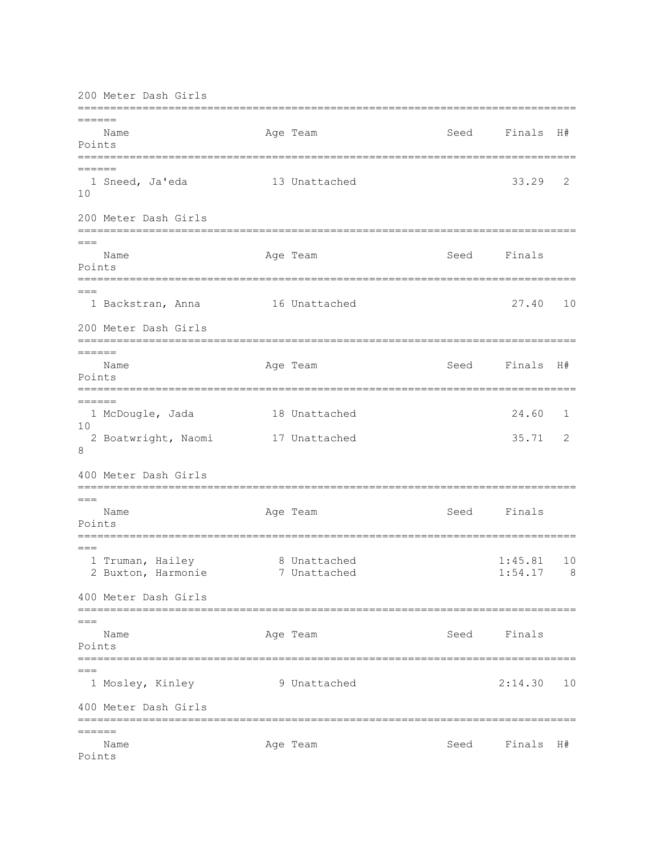200 Meter Dash Girls ============================================================================= ====== Name Age Team Seed Finals H# Points ============================================================================= ====== 1 Sneed, Ja'eda 13 Unattached 33.29 2 10 200 Meter Dash Girls ============================================================================= === Name **Age Team** Age Team Seed Finals Points ============================================================================= === 1 Backstran, Anna 16 Unattached 27.40 10 200 Meter Dash Girls ============================================================================= ====== Name **Age Team Seed Finals H**# Points =============================================================================  $=$  1 McDougle, Jada 18 Unattached 24.60 1  $1<sub>0</sub>$  2 Boatwright, Naomi 17 Unattached 35.71 2 8 400 Meter Dash Girls =============================================================================  $=$ Name **Age Team** Age Team Seed Finals Points =============================================================================  $=$ 1 Truman, Hailey 8 Unattached 1:45.81 10 2 Buxton, Harmonie 7 Unattached 1:54.17 8 400 Meter Dash Girls ============================================================================= === Name **Age Team** Age Team Seed Finals Points =============================================================================  $=$  1 Mosley, Kinley 9 Unattached 2:14.30 10 400 Meter Dash Girls =============================================================================  $=$ Name **Age Team** Age Team Seed Finals H# Points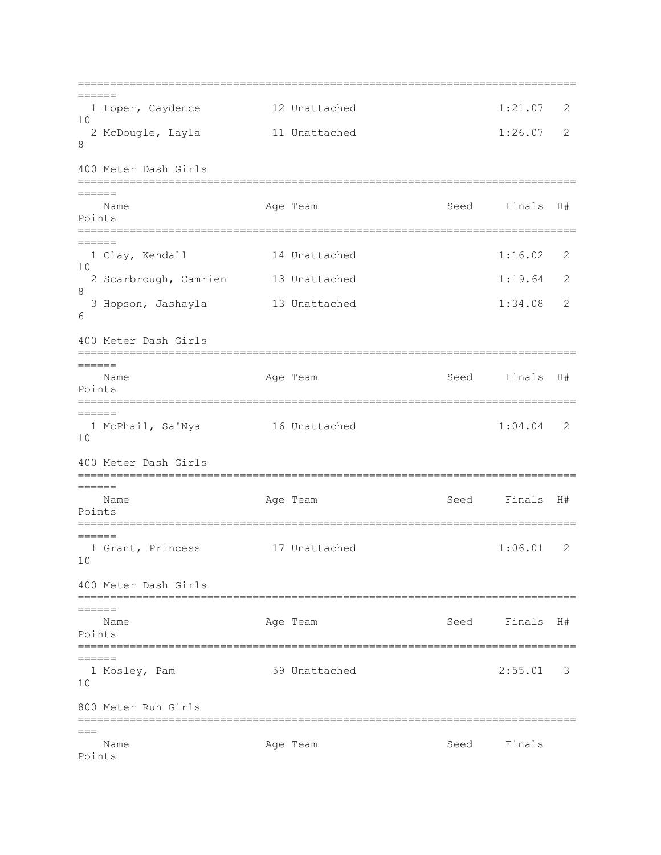=============================================================================  $=$  1 Loper, Caydence 12 Unattached 1:21.07 2 10 2 McDougle, Layla 11 Unattached 1:26.07 2 8 400 Meter Dash Girls =============================================================================  $=$ Name **Age Team Seed Finals H**# Points ============================================================================= ====== 1 Clay, Kendall 14 Unattached 1:16.02 2  $1<sub>0</sub>$ 2 Scarbrough, Camrien 13 Unattached 1:19.64 2 8 3 Hopson, Jashayla 13 Unattached 1:34.08 2 6 400 Meter Dash Girls =============================================================================  $======$  Name Age Team Seed Finals H# Points =============================================================================  $=$  1 McPhail, Sa'Nya 16 Unattached 1:04.04 2 10 400 Meter Dash Girls =============================================================================  $=$ Name **Age Team** Age Team Seed Finals H# Points ============================================================================= ====== 1 Grant, Princess 17 Unattached 1:06.01 2 10 400 Meter Dash Girls =============================================================================  $=$ Name Age Team Seed Finals H# Points ============================================================================= ====== 1 Mosley, Pam 59 Unattached 2:55.01 3 10 800 Meter Run Girls =============================================================================  $---$ Name **Age Team** Age Team Seed Finals Points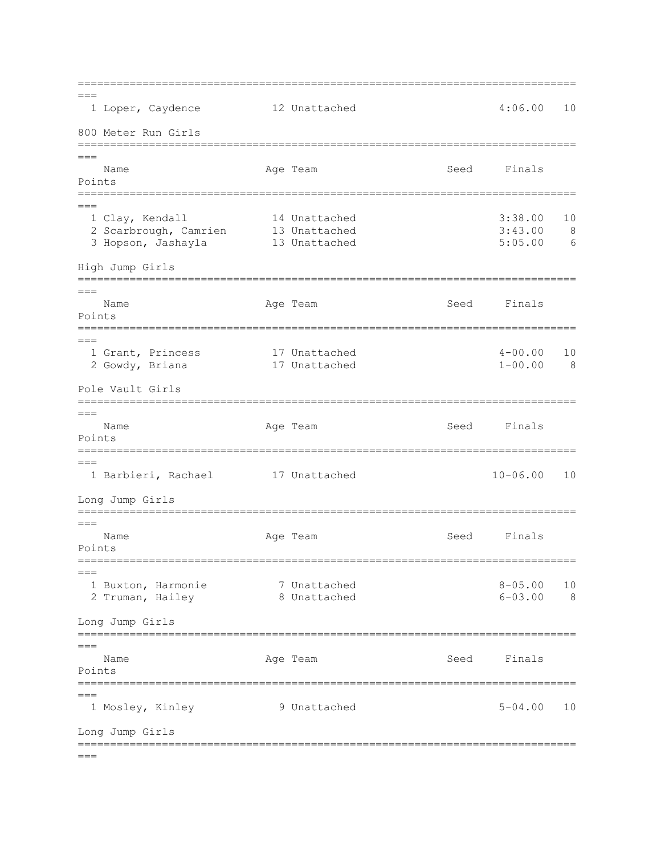=============================================================================  $=$  1 Loper, Caydence 12 Unattached 4:06.00 10 800 Meter Run Girls ============================================================================= === Name **Age Team** Age Team Seed Finals Points =============================================================================  $=$  1 Clay, Kendall 14 Unattached 3:38.00 10 2 Scarbrough, Camrien 13 Unattached 3:43.00 8 3 Hopson, Jashayla 13 Unattached 5:05.00 6 High Jump Girls =============================================================================  $=$ Name **Age Team** Age Team Seed Finals Points =============================================================================  $=$ 1 Grant, Princess 17 Unattached 1 = 4-00.00 10<br>2 Gowdy, Briana 17 Unattached 1 = 1-00.00 8 2 Gowdy, Briana 17 Unattached Pole Vault Girls =============================================================================  $=$ Name Age Team Age Team Seed Finals Points =============================================================================  $=$  1 Barbieri, Rachael 17 Unattached 10-06.00 10 Long Jump Girls =============================================================================  $---$ Name **Age Team** Age Team Seed Finals Points ============================================================================= === 1 Buxton, Harmonie 7 Unattached 8-05.00 10 2 Truman, Hailey 8 Unattached 6-03.00 8 Long Jump Girls =============================================================================  $=-$ Name **Age Team** Age Team Seed Finals Points =============================================================================  $=$  1 Mosley, Kinley 9 Unattached 5-04.00 10 Long Jump Girls =============================================================================  $=$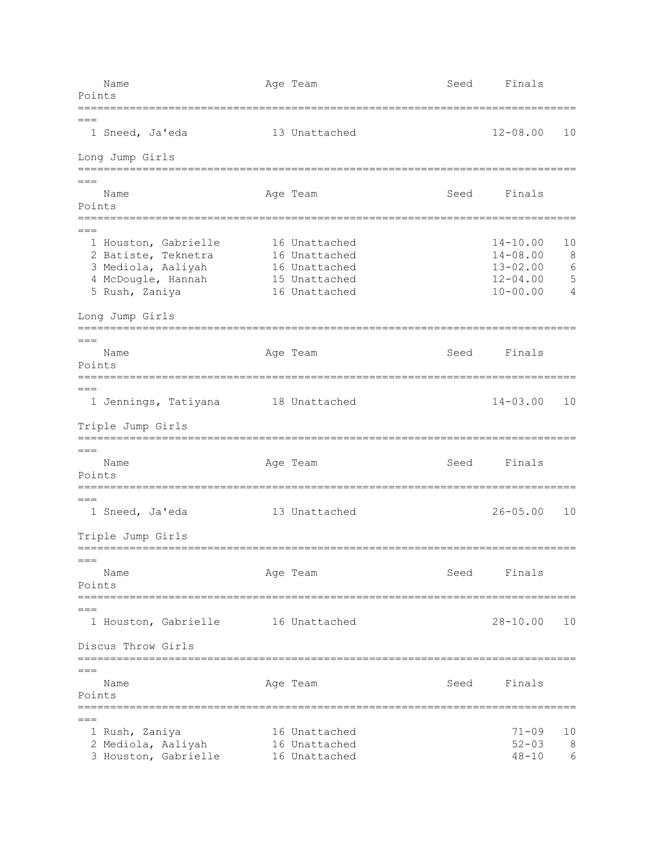Name **Age Team** Age Team Seed Finals Points =============================================================================  $=$  1 Sneed, Ja'eda 13 Unattached 12-08.00 10 Long Jump Girls =============================================================================  $=$ Name **Age Team** Age Team Seed Finals Points =============================================================================  $=$ 1 Houston, Gabrielle 16 Unattached 14-10.00 10<br>
2 Batiste, Teknetra 16 Unattached 14-08.00 8 2 Batiste, Teknetra 16 Unattached 14-08.00 8<br>3 Mediola, Aaliyah 16 Unattached 13-02.00 6 3 Mediola, Aaliyah 16 Unattached 13-02.00 6<br>4 McDougle, Hannah 15 Unattached 12-04.00 5 4 McDougle, Hannah 15 Unattached 12-04.00 5 Rush, Zaniya 16 Unattached 10-00.00 4 Long Jump Girls =============================================================================  $=$ Name **Age Team** Age Team Seed Finals Points =============================================================================  $=$  1 Jennings, Tatiyana 18 Unattached 14-03.00 10 Triple Jump Girls =============================================================================  $=$  Name Age Team Seed Finals Points =============================================================================  $=$  1 Sneed, Ja'eda 13 Unattached 26-05.00 10 Triple Jump Girls =============================================================================  $=$ Name **Age Team** Age Team Seed Finals Points =============================================================================  $=$  1 Houston, Gabrielle 16 Unattached 28-10.00 10 Discus Throw Girls ============================================================================= === Name Age Team Seed Finals Points =============================================================================  $=$  1 Rush, Zaniya 16 Unattached 71-09 10 2 Mediola, Aaliyah 16 Unattached 52-03 8 3 Houston, Gabrielle 16 Unattached 1994 18-10 6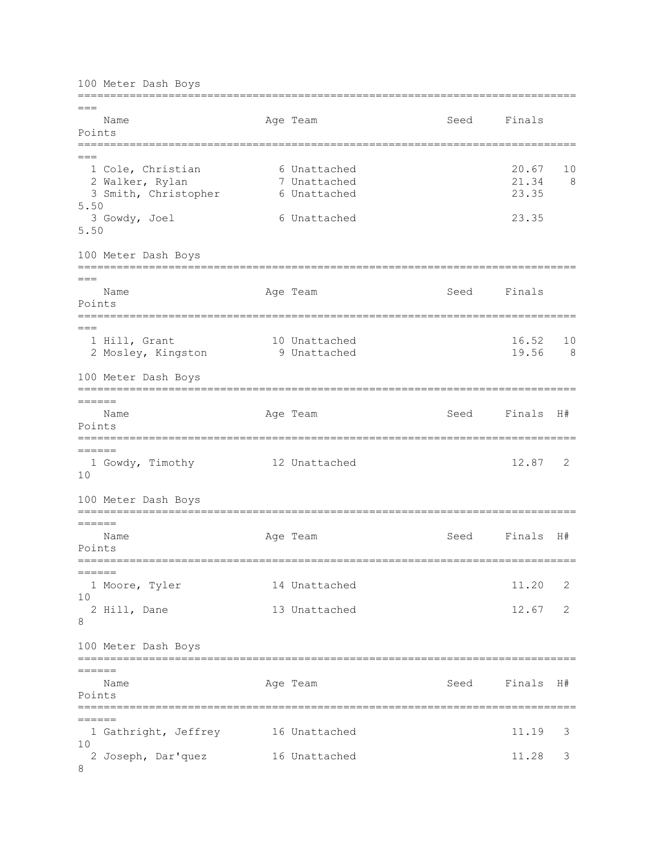100 Meter Dash Boys ============================================================================= === Name **Age Team** Age Team Seed Finals Points ============================================================================= === 1 Cole, Christian 6 Unattached 20.67 10 2 Walker, Rylan 7 Unattached 21.34 8 3 Smith, Christopher 6 Unattached 23.35 5.50 3 Gowdy, Joel 6 Unattached 23.35 5.50 100 Meter Dash Boys =============================================================================  $=-$ Name Age Team Seed Finals Points ============================================================================= === 1 Hill, Grant 10 Unattached 16.52 10<br>2 Mosley, Kingston 19 Unattached 19.56 8 2 Mosley, Kingston 10 Unattached 100 Meter Dash Boys =============================================================================  $=$ Name **Age Team Seed Finals H**# Points ============================================================================= ====== 1 Gowdy, Timothy 12 Unattached 12.87 2 10 100 Meter Dash Boys ============================================================================= ====== Name Age Team Seed Finals H# Points ============================================================================= ====== 1 Moore, Tyler 14 Unattached 11.20 2  $1<sub>0</sub>$  2 Hill, Dane 13 Unattached 12.67 2 8 100 Meter Dash Boys =============================================================================  $=$  Name Age Team Seed Finals H# Points =============================================================================  $=$ 1 Gathright, Jeffrey 16 Unattached 11.19 3 10 2 Joseph, Dar'quez 16 Unattached 11.28 3 8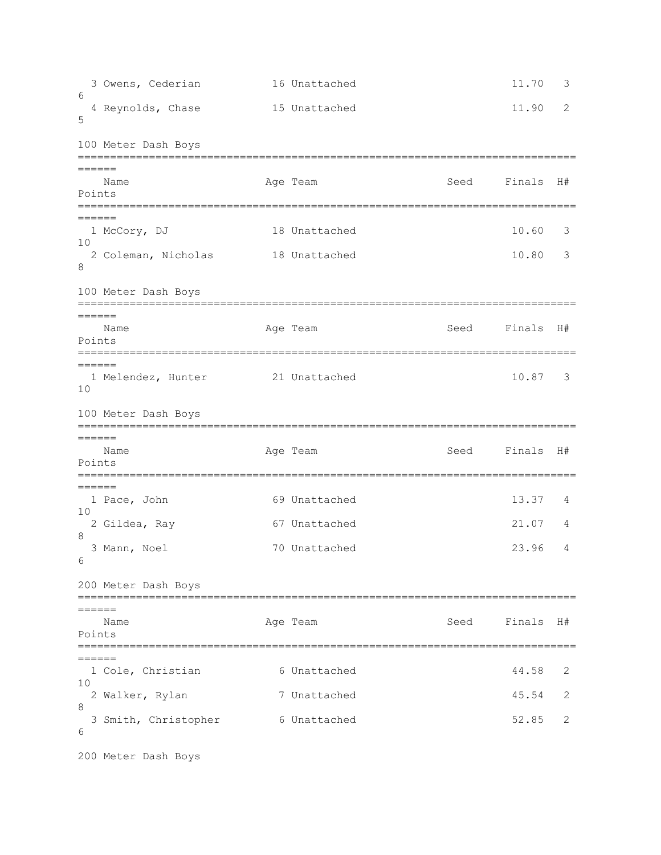```
3 Owens, Cederian 16 Unattached 11.70 3
6 
 4 Reynolds, Chase 15 Unattached 11.90 2
5 
100 Meter Dash Boys
=============================================================================
======
  Name Age Team Seed Finals H#
Points
=============================================================================
======
 1 McCory, DJ 18 Unattached 10.60 3
10 
  2 Coleman, Nicholas 18 Unattached 10.80 3 
8
100 Meter Dash Boys
=============================================================================
=Name Age Team Age Team Seed Finals H#
Points
=============================================================================
======
  1 Melendez, Hunter 21 Unattached 10.87 3 
10 
100 Meter Dash Boys
=============================================================================
=Name Age Team Seed Finals H#
Points
=============================================================================
======
 1 Pace, John 69 Unattached 13.37 4
10 
  2 Gildea, Ray 67 Unattached 21.07 4 
8 
  3 Mann, Noel 70 Unattached 23.96 4 
6 
200 Meter Dash Boys
=============================================================================
=Name Age Team Seed Finals H#
Points
=============================================================================
=1 Cole, Christian 6 Unattached 44.58 2
10 
  2 Walker, Rylan 7 Unattached 45.54 2 
8 
 3 Smith, Christopher 6 Unattached 52.85 2
6 
200 Meter Dash Boys
```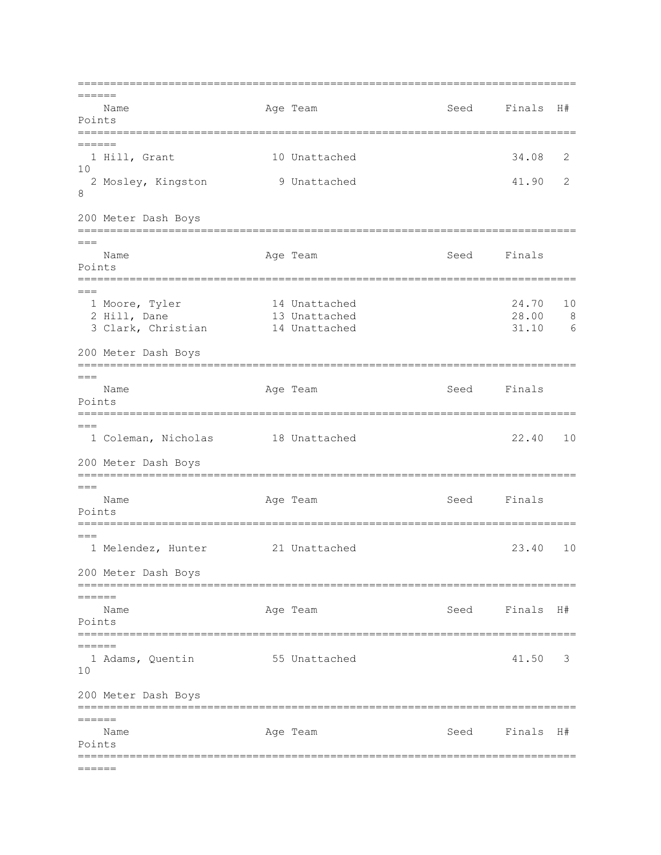=============================================================================  $=$  Name Age Team Seed Finals H# Points ============================================================================= ====== 1 Hill, Grant 10 Unattached 34.08 2 10 2 Mosley, Kingston 9 Unattached 41.90 2 8 200 Meter Dash Boys =============================================================================  $=$ Name **Age Team** Age Team Seed Finals Points ============================================================================= === 1 Moore, Tyler 14 Unattached 24.70 10 2 Hill, Dane 13 Unattached 28.00 8 3 Clark, Christian 14 Unattached 31.10 6 200 Meter Dash Boys =============================================================================  $===$ Name **Age Team** Age Team Seed Finals Points ============================================================================= === 1 Coleman, Nicholas 18 Unattached 22.40 10 200 Meter Dash Boys =============================================================================  $=-$ Name **Age Team** Age Team Seed Finals Points ============================================================================= === 1 Melendez, Hunter 21 Unattached 23.40 10 200 Meter Dash Boys ============================================================================= ====== Name Age Team Seed Finals H# Points ============================================================================= ====== 1 Adams, Quentin 55 Unattached 41.50 3 10 200 Meter Dash Boys =============================================================================  $=$ Name **Age Team Seed Finals H**# Points =============================================================================  $=$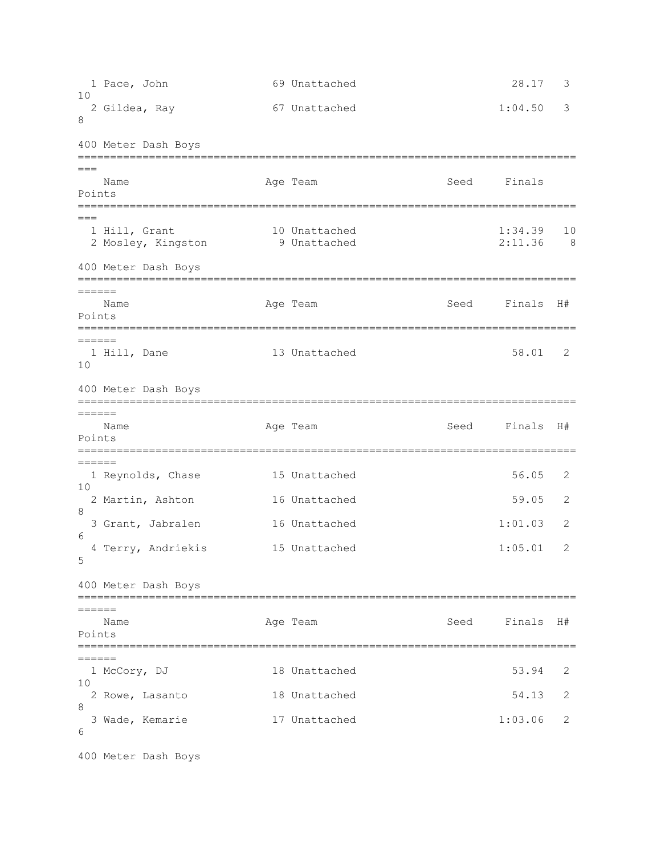1 Pace, John 69 Unattached 28.17 3  $1<sub>0</sub>$  2 Gildea, Ray 67 Unattached 1:04.50 3 8 400 Meter Dash Boys =============================================================================  $=$ Name Age Team Seed Finals Points =============================================================================  $=$  1 Hill, Grant 10 Unattached 1:34.39 10 2 Mosley, Kingston 9 Unattached 2:11.36 8 400 Meter Dash Boys ============================================================================= ====== Name Age Team Seed Finals H# Points ============================================================================= ====== 1 Hill, Dane 13 Unattached 58.01 2 10 400 Meter Dash Boys ============================================================================= ====== Name Age Team Seed Finals H# Points =============================================================================  $=$ 1 Reynolds, Chase 15 Unattached 56.05 2 10 2 Martin, Ashton 16 Unattached 59.05 2 8 3 Grant, Jabralen 16 Unattached 1:01.03 2 6 4 Terry, Andriekis 15 Unattached 1:05.01 2 5 400 Meter Dash Boys =============================================================================  $=$ Name Age Team Seed Finals H# Points ============================================================================= ====== 1 McCory, DJ 18 Unattached 53.94 2 10 2 Rowe, Lasanto 18 Unattached 54.13 2 8 3 Wade, Kemarie 17 Unattached 1:03.06 2 6

400 Meter Dash Boys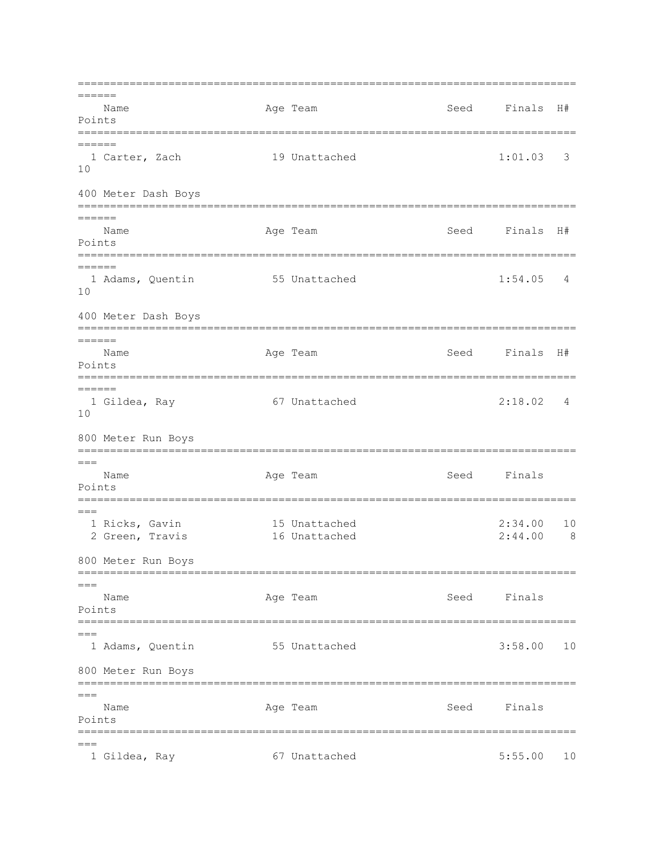=============================================================================  $=$  Name Age Team Seed Finals H# Points ============================================================================= ====== 1 Carter, Zach 19 Unattached 1:01.03 3 10 400 Meter Dash Boys ============================================================================= ====== Name Age Team Seed Finals H# Points ============================================================================= ====== 1 Adams, Quentin 55 Unattached 1:54.05 4 10 400 Meter Dash Boys ============================================================================= ====== Name  $\qquad \qquad \text{Age Team} \qquad \qquad \text{Seed} \qquad \text{Finals} \quad \text{H}\#$ Points =============================================================================  $=$  1 Gildea, Ray 67 Unattached 2:18.02 4 10 800 Meter Run Boys =============================================================================  $===$ Name **Age Team** Age Team Seed Finals Points =============================================================================  $---$  1 Ricks, Gavin 15 Unattached 2:34.00 10 2 Green, Travis 16 Unattached 2:44.00 8 800 Meter Run Boys =============================================================================  $=$ Name Age Team Seed Finals Points =============================================================================  $=$  1 Adams, Quentin 55 Unattached 3:58.00 10 800 Meter Run Boys =============================================================================  $=$  Name Age Team Seed Finals Points ============================================================================= === 1 Gildea, Ray 67 Unattached 5:55.00 10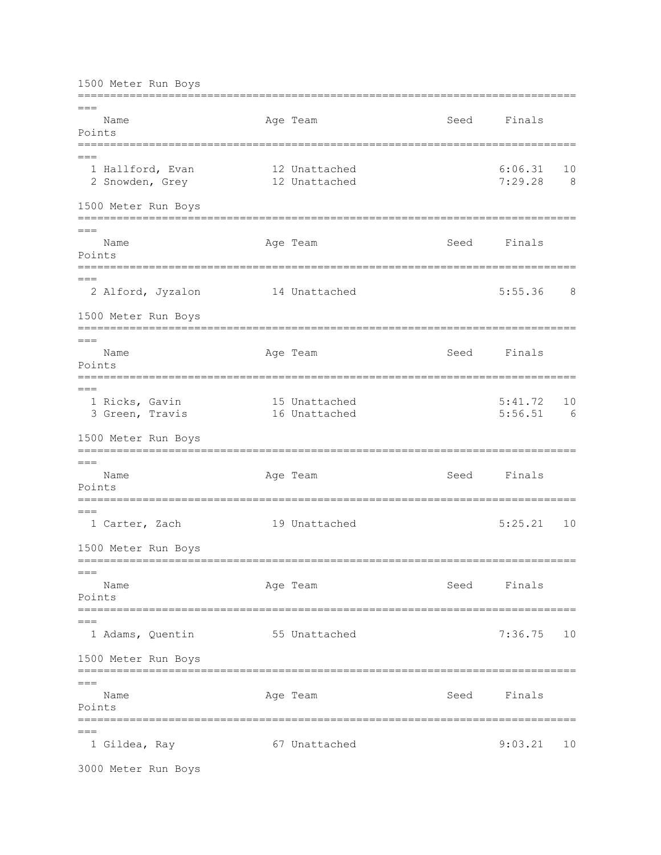1500 Meter Run Boys

============================================================================= === Name **Age Team** Age Team Seed Finals Points ============================================================================= === 1 Hallford, Evan 12 Unattached 6:06.31 10<br>2 Snowden, Grey 12 Unattached 7:29.28 8 2 Snowden, Grey 12 Unattached 1500 Meter Run Boys =============================================================================  $=$ Name **Age Team** Age Team Seed Finals Points ============================================================================= === 2 Alford, Jyzalon 14 Unattached 5:55.36 8 1500 Meter Run Boys =============================================================================  $=$ Name **Age Team** Age Team Seed Finals Points =============================================================================  $=$  1 Ricks, Gavin 15 Unattached 5:41.72 10 3 Green, Travis 1500 Meter Run Boys =============================================================================  $===$ Name **Age Team** Age Team Seed Finals Points =============================================================================  $---$  1 Carter, Zach 19 Unattached 5:25.21 10 1500 Meter Run Boys =============================================================================  $=$ Name Age Team Age Team Seed Finals Points ============================================================================= === 1 Adams, Quentin 55 Unattached 7:36.75 10 1500 Meter Run Boys =============================================================================  $=$ Name **Age Team** Age Team Seed Finals Points =============================================================================  $=$ 1 Gildea, Ray 67 Unattached 9:03.21 10

3000 Meter Run Boys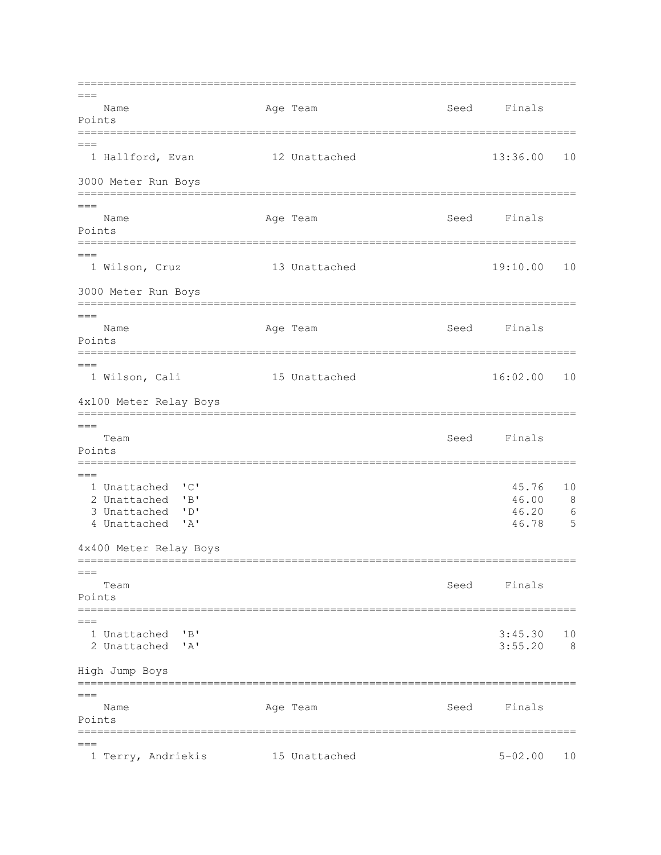=============================================================================  $=$ Name Age Team Seed Finals Points =============================================================================  $---$  1 Hallford, Evan 12 Unattached 13:36.00 10 3000 Meter Run Boys =============================================================================  $=$ Name **Age Team** Age Team Seed Finals Points =============================================================================  $---$  1 Wilson, Cruz 13 Unattached 19:10.00 10 3000 Meter Run Boys =============================================================================  $=$ Name Age Team Age Team Seed Finals Points ============================================================================= === 1 Wilson, Cali 15 Unattached 16:02.00 10 4x100 Meter Relay Boys =============================================================================  $=$ Team Seed Finals Points =============================================================================  $=$  1 Unattached 'C' 45.76 10 2 Unattached 'B' 46.00 8 3 Unattached 'D' 46.20 6 4 Unattached 'A' 4x400 Meter Relay Boys =============================================================================  $=$ Team Seed Finals Points ============================================================================= === 1 Unattached 'B' 3:45.30 10 2 Unattached 'A' 3:55.20 8 High Jump Boys =============================================================================  $=$  Name Age Team Seed Finals Points ============================================================================= === 1 Terry, Andriekis 15 Unattached 5-02.00 10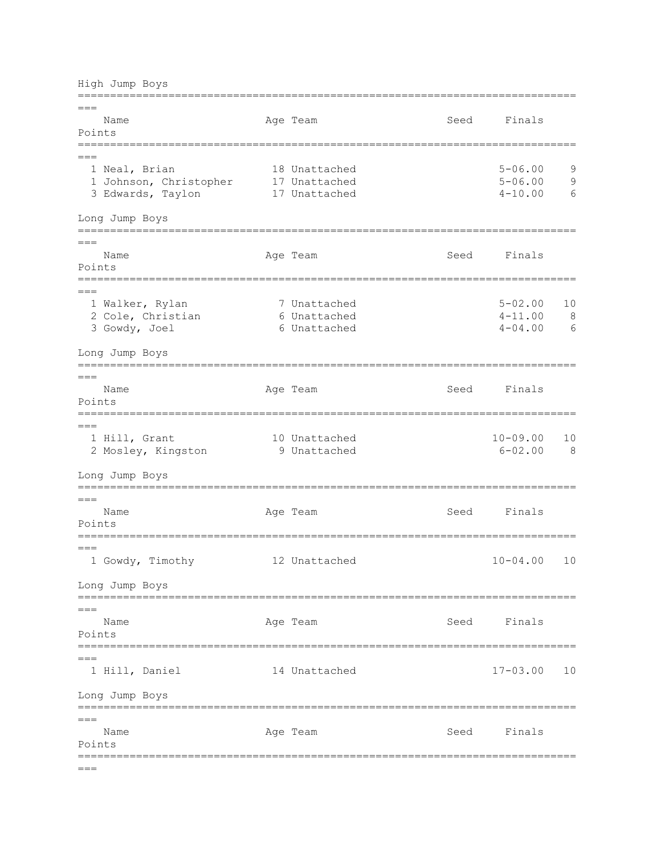High Jump Boys ============================================================================= === Name **Age Team** Age Team Seed Finals Points ============================================================================= === 1 Neal, Brian 18 Unattached 5-06.00 9<br>1 Johnson, Christopher 17 Unattached 5-06.00 9 1 Johnson, Christopher 17 Unattached 5-06.00 3 Edwards, Taylon 17 Unattached 11 and 4-10.00 6 Long Jump Boys =============================================================================  $=$ Name **Age Team** Age Team Seed Finals Points ============================================================================= === 1 Walker, Rylan 7 Unattached 5-02.00 10 2 Cole, Christian 6 Unattached 4-11.00 8 3 Gowdy, Joel 6 Unattached 4-04.00 6 Long Jump Boys =============================================================================  $=$ Name **Age Team** Age Team Seed Finals Points ============================================================================= === 1 Hill, Grant 10 Unattached 10-09.00 10 2 Mosley, Kingston 9 Unattached 6-02.00 8 Long Jump Boys =============================================================================  $=$ Name Age Team Age Team Seed Finals Points =============================================================================  $=$  1 Gowdy, Timothy 12 Unattached 10-04.00 10 Long Jump Boys =============================================================================  $=$ Name **Age Team** Age Team Seed Finals Points =============================================================================  $---$  1 Hill, Daniel 14 Unattached 17-03.00 10 Long Jump Boys =============================================================================  $=$ Name Age Team Seed Finals Points =============================================================================  $=$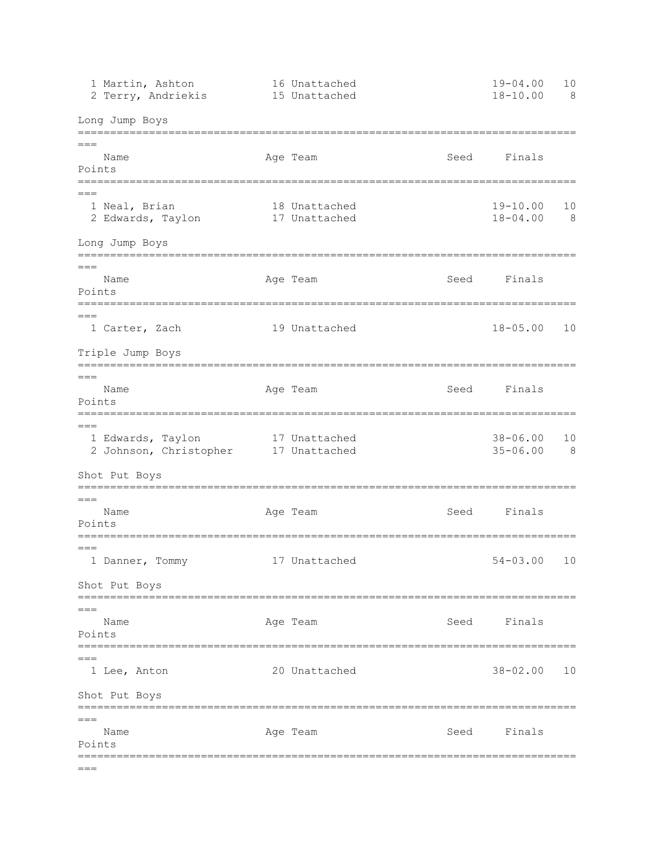| 1 Martin, Ashton<br>2 Terry, Andriekis               |                                      | 16 Unattached<br>15 Unattached |                | $19 - 04.00$<br>$18 - 10.00$ | 10<br>8 |
|------------------------------------------------------|--------------------------------------|--------------------------------|----------------|------------------------------|---------|
| Long Jump Boys                                       |                                      |                                |                |                              |         |
| $==$<br>Name<br>Points                               | ==================================== | Age Team                       | Seed           | Finals                       |         |
| $==$<br>1 Neal, Brian<br>2 Edwards, Taylon           |                                      | 18 Unattached<br>17 Unattached |                | $19 - 10.00$<br>$18 - 04.00$ | 10<br>8 |
| Long Jump Boys<br>===================                |                                      |                                |                |                              |         |
| $===$<br>Name<br>Points                              |                                      | Age Team                       | Seed           | Finals                       |         |
| $===$<br>1 Carter, Zach                              |                                      | 19 Unattached                  |                | $18 - 05.00$                 | 10      |
| Triple Jump Boys                                     |                                      |                                | -------------- |                              |         |
| $===$<br>Name<br>Points<br>========                  |                                      | Age Team                       | Seed           | Finals                       |         |
| $===$<br>1 Edwards, Taylon<br>2 Johnson, Christopher |                                      | 17 Unattached<br>17 Unattached |                | $38 - 06.00$<br>$35 - 06.00$ | 10<br>8 |
| Shot Put Boys<br>=========================           |                                      |                                |                |                              |         |
| $===$<br>Name<br>Points                              |                                      | Age Team                       | Seed           | Finals                       |         |
| $===$<br>1 Danner, Tommy                             |                                      | 17 Unattached                  |                | $54 - 03.00$                 | 10      |
| Shot Put Boys                                        |                                      |                                |                |                              |         |
| $===$<br>Name<br>Points                              |                                      | Age Team                       |                | Seed Finals                  |         |
| $===$<br>1 Lee, Anton                                |                                      | 20 Unattached                  |                | $38 - 02.00$                 | 10      |
| Shot Put Boys<br>;=============================      |                                      |                                |                |                              |         |
| $===$<br>Name<br>Points                              |                                      | Age Team                       | Seed           | Finals                       |         |
| $===$                                                |                                      |                                |                |                              |         |